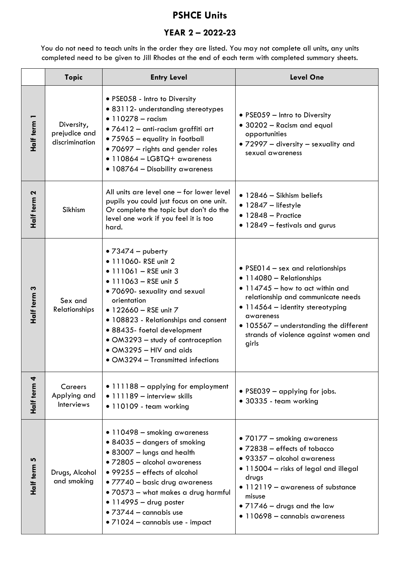## **PSHCE Units**

## **YEAR 2 – 2022-23**

You do not need to teach units in the order they are listed. You may not complete all units, any units completed need to be given to Jill Rhodes at the end of each term with completed summary sheets.

|                | <b>Topic</b>                                  | <b>Entry Level</b>                                                                                                                                                                                                                                                                                                                                                   | <b>Level One</b>                                                                                                                                                                                                                                                                            |
|----------------|-----------------------------------------------|----------------------------------------------------------------------------------------------------------------------------------------------------------------------------------------------------------------------------------------------------------------------------------------------------------------------------------------------------------------------|---------------------------------------------------------------------------------------------------------------------------------------------------------------------------------------------------------------------------------------------------------------------------------------------|
| Half term      | Diversity,<br>prejudice and<br>discrimination | • PSE058 - Intro to Diversity<br>· 83112- understanding stereotypes<br>• $110278 -$ racism<br>$\bullet$ 76412 - anti-racism graffiti art<br>• 75965 - equality in football<br>• 70697 - rights and gender roles<br>$\bullet$ 110864 - LGBTQ+ awareness<br>• 108764 – Disability awareness                                                                            | • PSE059 - Intro to Diversity<br>• 30202 - Racism and equal<br>opportunities<br>• 72997 - diversity - sexuality and<br>sexual awareness                                                                                                                                                     |
| Half term 2    | Sikhism                                       | All units are level one - for lower level<br>pupils you could just focus on one unit.<br>Or complete the topic but don't do the<br>level one work if you feel it is too<br>hard.                                                                                                                                                                                     | • 12846 - Sikhism beliefs<br>$\bullet$ 12847 - lifestyle<br>$\bullet$ 12848 - Practice<br>• 12849 – festivals and gurus                                                                                                                                                                     |
| Half term 3    | Sex and<br><b>Relationships</b>               | • $73474 -$ puberty<br>• 111060- RSE unit 2<br>$\bullet$ 111061 - RSE unit 3<br>• 111063 - RSE unit $5$<br>. 70690- sexuality and sexual<br>orientation<br>• 122660 - RSE unit 7<br>• 108823 - Relationships and consent<br>• 88435- foetal development<br>• OM3293 - study of contraception<br>$\bullet$ OM3295 - HIV and aids<br>• OM3294 - Transmitted infections | • PSE014 – sex and relationships<br>· 114080 - Relationships<br>$\bullet$ 114745 - how to act within and<br>relationship and communicate needs<br>• 114564 - identity stereotyping<br>awareness<br>• 105567 - understanding the different<br>strands of violence against women and<br>girls |
| 4<br>Half term | Careers<br>Applying and<br>Interviews         | • 111188 - applying for employment<br>• 111189 - interview skills<br>• 110109 - team working                                                                                                                                                                                                                                                                         | • PSE039 $-$ applying for jobs.<br>• 30335 - team working                                                                                                                                                                                                                                   |
| Ю<br>Half term | Drugs, Alcohol<br>and smoking                 | • 110498 - smoking awareness<br>• 84035 - dangers of smoking<br>• 83007 - lungs and health<br>• 72805 - alcohol awareness<br>• 99255 - effects of alcohol<br>• 77740 - basic drug awareness<br>• 70573 - what makes a drug harmful<br>$\bullet$ 114995 - drug poster<br>$\bullet$ 73744 - cannabis use<br>· 71024 - cannabis use - impact                            | • 70177 - smoking awareness<br>• 72838 - effects of tobacco<br>• 93357 - alcohol awareness<br>• 115004 – risks of legal and illegal<br>drugs<br>• 112119 - awareness of substance<br>misuse<br>• $71746 -$ drugs and the law<br>• 110698 - cannabis awareness                               |